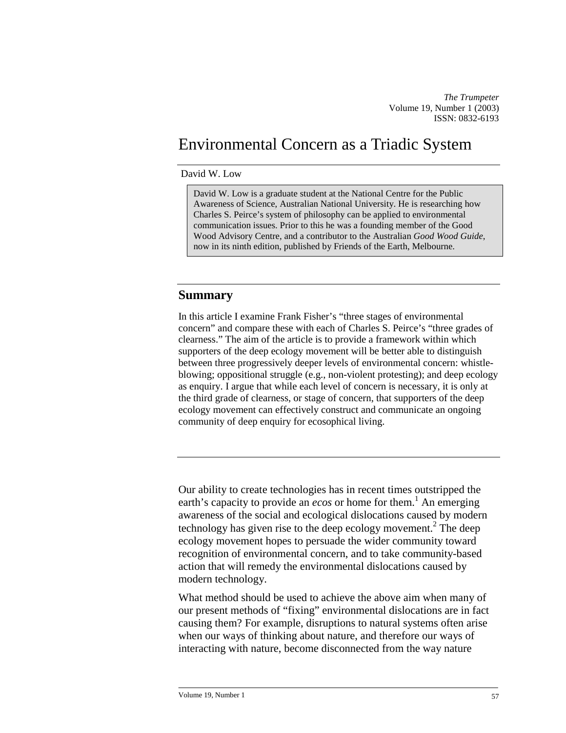*The Trumpeter*  Volume 19, Number 1 (2003) ISSN: 0832-6193

# Environmental Concern as a Triadic System

#### David W. Low

David W. Low is a graduate student at the National Centre for the Public Awareness of Science, Australian National University. He is researching how Charles S. Peirce's system of philosophy can be applied to environmental communication issues. Prior to this he was a founding member of the Good Wood Advisory Centre, and a contributor to the Australian *Good Wood Guide*, now in its ninth edition, published by Friends of the Earth, Melbourne.

#### **Summary**

In this article I examine Frank Fisher's "three stages of environmental concern" and compare these with each of Charles S. Peirce's "three grades of clearness." The aim of the article is to provide a framework within which supporters of the deep ecology movement will be better able to distinguish between three progressively deeper levels of environmental concern: whistleblowing; oppositional struggle (e.g., non-violent protesting); and deep ecology as enquiry. I argue that while each level of concern is necessary, it is only at the third grade of clearness, or stage of concern, that supporters of the deep ecology movement can effectively construct and communicate an ongoing community of deep enquiry for ecosophical living.

Our ability to create technologies has in recent times outstripped the earth's capacity to provide an *ecos* or home for them.<sup>[1](#page-11-0)</sup> An emerging awareness of the social and ecological dislocations caused by modern technology has given rise to the deep ecology movement.<sup>[2](#page-11-0)</sup> The deep ecology movement hopes to persuade the wider community toward recognition of environmental concern, and to take community-based action that will remedy the environmental dislocations caused by modern technology.

What method should be used to achieve the above aim when many of our present methods of "fixing" environmental dislocations are in fact causing them? For example, disruptions to natural systems often arise when our ways of thinking about nature, and therefore our ways of interacting with nature, become disconnected from the way nature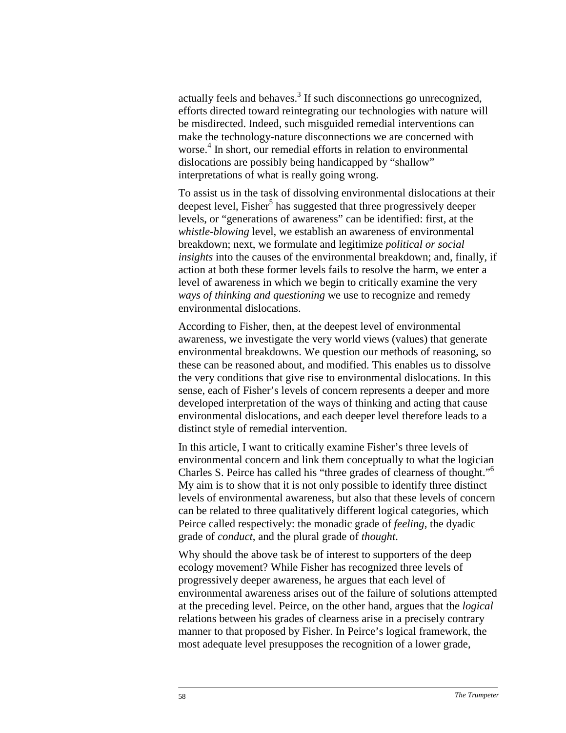actually feels and behaves.<sup>[3](#page-11-0)</sup> If such disconnections go unrecognized, efforts directed toward reintegrating our technologies with nature will be misdirected. Indeed, such misguided remedial interventions can make the technology-nature disconnections we are concerned with worse. [4](#page-11-0) In short, our remedial efforts in relation to environmental dislocations are possibly being handicapped by "shallow" interpretations of what is really going wrong.

To assist us in the task of dissolving environmental dislocations at their deepest level, Fisher<sup>[5](#page-11-0)</sup> has suggested that three progressively deeper levels, or "generations of awareness" can be identified: first, at the *whistle-blowing* level, we establish an awareness of environmental breakdown; next, we formulate and legitimize *political or social insights* into the causes of the environmental breakdown; and, finally, if action at both these former levels fails to resolve the harm, we enter a level of awareness in which we begin to critically examine the very *ways of thinking and questioning* we use to recognize and remedy environmental dislocations.

According to Fisher, then, at the deepest level of environmental awareness, we investigate the very world views (values) that generate environmental breakdowns. We question our methods of reasoning, so these can be reasoned about, and modified. This enables us to dissolve the very conditions that give rise to environmental dislocations. In this sense, each of Fisher's levels of concern represents a deeper and more developed interpretation of the ways of thinking and acting that cause environmental dislocations, and each deeper level therefore leads to a distinct style of remedial intervention.

In this article, I want to critically examine Fisher's three levels of environmental concern and link them conceptually to what the logician Charles S. Peirce has called his "three grades of clearness of thought.["6](#page-11-0) My aim is to show that it is not only possible to identify three distinct levels of environmental awareness, but also that these levels of concern can be related to three qualitatively different logical categories, which Peirce called respectively: the monadic grade of *feeling*, the dyadic grade of *conduct*, and the plural grade of *thought*.

Why should the above task be of interest to supporters of the deep ecology movement? While Fisher has recognized three levels of progressively deeper awareness, he argues that each level of environmental awareness arises out of the failure of solutions attempted at the preceding level. Peirce, on the other hand, argues that the *logical* relations between his grades of clearness arise in a precisely contrary manner to that proposed by Fisher. In Peirce's logical framework, the most adequate level presupposes the recognition of a lower grade,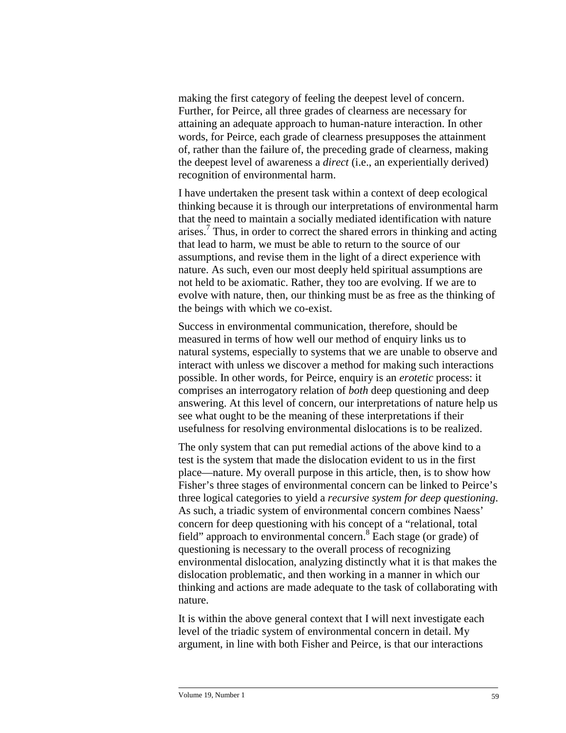making the first category of feeling the deepest level of concern. Further, for Peirce, all three grades of clearness are necessary for attaining an adequate approach to human-nature interaction. In other words, for Peirce, each grade of clearness presupposes the attainment of, rather than the failure of, the preceding grade of clearness, making the deepest level of awareness a *direct* (i.e., an experientially derived) recognition of environmental harm.

I have undertaken the present task within a context of deep ecological thinking because it is through our interpretations of environmental harm that the need to maintain a socially mediated identification with nature arises.<sup>[7](#page-11-0)</sup> Thus, in order to correct the shared errors in thinking and acting that lead to harm, we must be able to return to the source of our assumptions, and revise them in the light of a direct experience with nature. As such, even our most deeply held spiritual assumptions are not held to be axiomatic. Rather, they too are evolving. If we are to evolve with nature, then, our thinking must be as free as the thinking of the beings with which we co-exist.

Success in environmental communication, therefore, should be measured in terms of how well our method of enquiry links us to natural systems, especially to systems that we are unable to observe and interact with unless we discover a method for making such interactions possible. In other words, for Peirce, enquiry is an *erotetic* process: it comprises an interrogatory relation of *both* deep questioning and deep answering. At this level of concern, our interpretations of nature help us see what ought to be the meaning of these interpretations if their usefulness for resolving environmental dislocations is to be realized.

The only system that can put remedial actions of the above kind to a test is the system that made the dislocation evident to us in the first place—nature. My overall purpose in this article, then, is to show how Fisher's three stages of environmental concern can be linked to Peirce's three logical categories to yield a *recursive system for deep questioning*. As such, a triadic system of environmental concern combines Naess' concern for deep questioning with his concept of a "relational, total field" approach to environmental concern.<sup>[8](#page-11-0)</sup> Each stage (or grade) of questioning is necessary to the overall process of recognizing environmental dislocation, analyzing distinctly what it is that makes the dislocation problematic, and then working in a manner in which our thinking and actions are made adequate to the task of collaborating with nature.

It is within the above general context that I will next investigate each level of the triadic system of environmental concern in detail. My argument, in line with both Fisher and Peirce, is that our interactions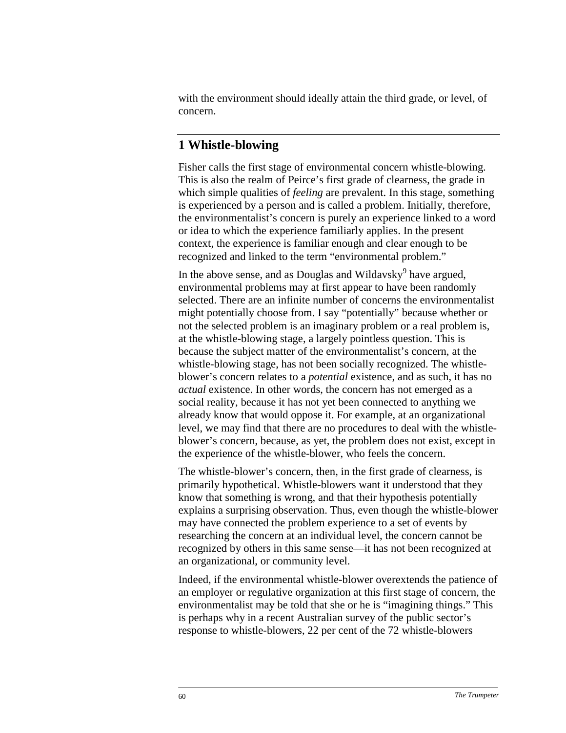with the environment should ideally attain the third grade, or level, of concern.

### **1 Whistle-blowing**

Fisher calls the first stage of environmental concern whistle-blowing. This is also the realm of Peirce's first grade of clearness, the grade in which simple qualities of *feeling* are prevalent. In this stage, something is experienced by a person and is called a problem. Initially, therefore, the environmentalist's concern is purely an experience linked to a word or idea to which the experience familiarly applies. In the present context, the experience is familiar enough and clear enough to be recognized and linked to the term "environmental problem."

In the above sense, and as Douglas and Wildavsky<sup>[9](#page-11-0)</sup> have argued, environmental problems may at first appear to have been randomly selected. There are an infinite number of concerns the environmentalist might potentially choose from. I say "potentially" because whether or not the selected problem is an imaginary problem or a real problem is, at the whistle-blowing stage, a largely pointless question. This is because the subject matter of the environmentalist's concern, at the whistle-blowing stage, has not been socially recognized. The whistleblower's concern relates to a *potential* existence, and as such, it has no *actual* existence. In other words, the concern has not emerged as a social reality, because it has not yet been connected to anything we already know that would oppose it. For example, at an organizational level, we may find that there are no procedures to deal with the whistleblower's concern, because, as yet, the problem does not exist, except in the experience of the whistle-blower, who feels the concern.

The whistle-blower's concern, then, in the first grade of clearness, is primarily hypothetical. Whistle-blowers want it understood that they know that something is wrong, and that their hypothesis potentially explains a surprising observation. Thus, even though the whistle-blower may have connected the problem experience to a set of events by researching the concern at an individual level, the concern cannot be recognized by others in this same sense—it has not been recognized at an organizational, or community level.

Indeed, if the environmental whistle-blower overextends the patience of an employer or regulative organization at this first stage of concern, the environmentalist may be told that she or he is "imagining things." This is perhaps why in a recent Australian survey of the public sector's response to whistle-blowers, 22 per cent of the 72 whistle-blowers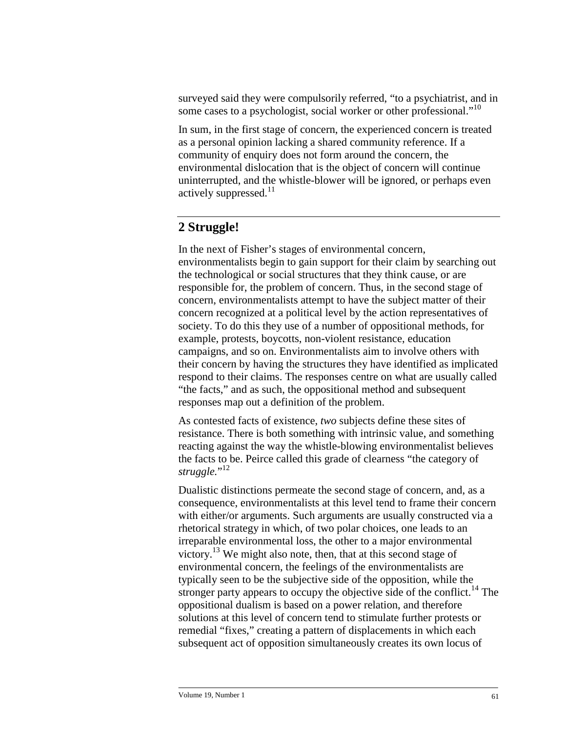surveyed said they were compulsorily referred, "to a psychiatrist, and in some cases to a psychologist, social worker or other professional."<sup>10</sup>

In sum, in the first stage of concern, the experienced concern is treated as a personal opinion lacking a shared community reference. If a community of enquiry does not form around the concern, the environmental dislocation that is the object of concern will continue uninterrupted, and the whistle-blower will be ignored, or perhaps even actively suppressed.<sup>[11](#page-11-0)</sup>

### **2 Struggle!**

In the next of Fisher's stages of environmental concern, environmentalists begin to gain support for their claim by searching out the technological or social structures that they think cause, or are responsible for, the problem of concern. Thus, in the second stage of concern, environmentalists attempt to have the subject matter of their concern recognized at a political level by the action representatives of society. To do this they use of a number of oppositional methods, for example, protests, boycotts, non-violent resistance, education campaigns, and so on. Environmentalists aim to involve others with their concern by having the structures they have identified as implicated respond to their claims. The responses centre on what are usually called "the facts," and as such, the oppositional method and subsequent responses map out a definition of the problem.

As contested facts of existence, *two* subjects define these sites of resistance. There is both something with intrinsic value, and something reacting against the way the whistle-blowing environmentalist believes the facts to be. Peirce called this grade of clearness "the category of struggle."<sup>[12](#page-11-0)</sup>

Dualistic distinctions permeate the second stage of concern, and, as a consequence, environmentalists at this level tend to frame their concern with either/or arguments. Such arguments are usually constructed via a rhetorical strategy in which, of two polar choices, one leads to an irreparable environmental loss, the other to a major environmental victory.<sup>13</sup> We might also note, then, that at this second stage of environmental concern, the feelings of the environmentalists are typically seen to be the subjective side of the opposition, while the stronger party appears to occupy the objective side of the conflict.<sup>14</sup> The oppositional dualism is based on a power relation, and therefore solutions at this level of concern tend to stimulate further protests or remedial "fixes," creating a pattern of displacements in which each subsequent act of opposition simultaneously creates its own locus of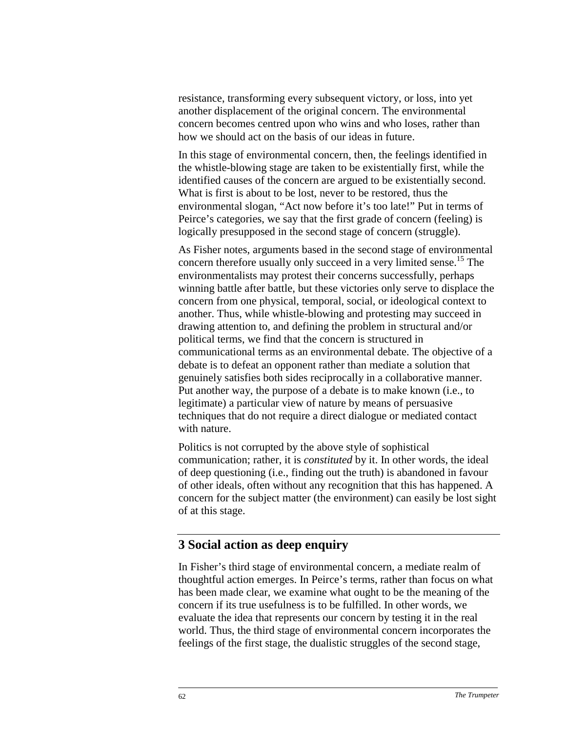resistance, transforming every subsequent victory, or loss, into yet another displacement of the original concern. The environmental concern becomes centred upon who wins and who loses, rather than how we should act on the basis of our ideas in future.

In this stage of environmental concern, then, the feelings identified in the whistle-blowing stage are taken to be existentially first, while the identified causes of the concern are argued to be existentially second. What is first is about to be lost, never to be restored, thus the environmental slogan, "Act now before it's too late!" Put in terms of Peirce's categories, we say that the first grade of concern (feeling) is logically presupposed in the second stage of concern (struggle).

As Fisher notes, arguments based in the second stage of environmental concern therefore usually only succeed in a very limited sense[.15](#page-11-0) The environmentalists may protest their concerns successfully, perhaps winning battle after battle, but these victories only serve to displace the concern from one physical, temporal, social, or ideological context to another. Thus, while whistle-blowing and protesting may succeed in drawing attention to, and defining the problem in structural and/or political terms, we find that the concern is structured in communicational terms as an environmental debate. The objective of a debate is to defeat an opponent rather than mediate a solution that genuinely satisfies both sides reciprocally in a collaborative manner. Put another way, the purpose of a debate is to make known (i.e., to legitimate) a particular view of nature by means of persuasive techniques that do not require a direct dialogue or mediated contact with nature.

Politics is not corrupted by the above style of sophistical communication; rather, it is *constituted* by it. In other words, the ideal of deep questioning (i.e., finding out the truth) is abandoned in favour of other ideals, often without any recognition that this has happened. A concern for the subject matter (the environment) can easily be lost sight of at this stage.

#### **3 Social action as deep enquiry**

In Fisher's third stage of environmental concern, a mediate realm of thoughtful action emerges. In Peirce's terms, rather than focus on what has been made clear, we examine what ought to be the meaning of the concern if its true usefulness is to be fulfilled. In other words, we evaluate the idea that represents our concern by testing it in the real world. Thus, the third stage of environmental concern incorporates the feelings of the first stage, the dualistic struggles of the second stage,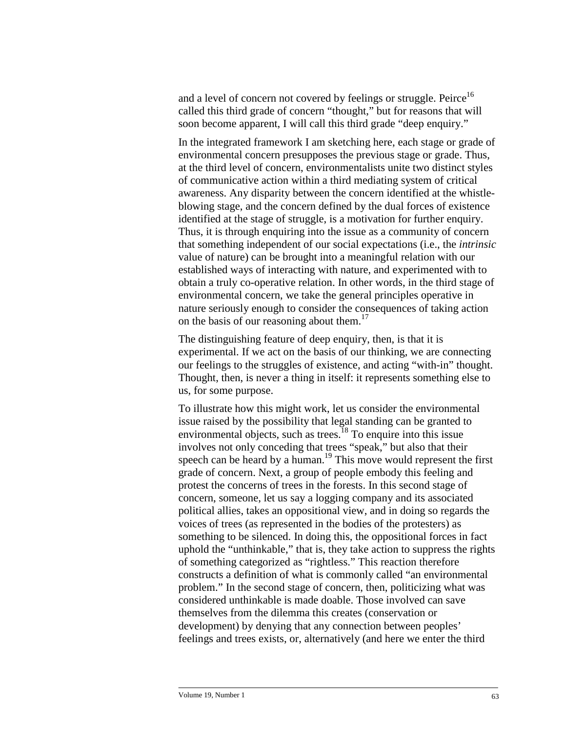and a level of concern not covered by feelings or struggle. Peirce<sup>[16](#page-11-0)</sup> called this third grade of concern "thought," but for reasons that will soon become apparent, I will call this third grade "deep enquiry."

In the integrated framework I am sketching here, each stage or grade of environmental concern presupposes the previous stage or grade. Thus, at the third level of concern, environmentalists unite two distinct styles of communicative action within a third mediating system of critical awareness. Any disparity between the concern identified at the whistleblowing stage, and the concern defined by the dual forces of existence identified at the stage of struggle, is a motivation for further enquiry. Thus, it is through enquiring into the issue as a community of concern that something independent of our social expectations (i.e., the *intrinsic* value of nature) can be brought into a meaningful relation with our established ways of interacting with nature, and experimented with to obtain a truly co-operative relation. In other words, in the third stage of environmental concern, we take the general principles operative in nature seriously enough to consider the consequences of taking action on the basis of our reasoning about them.<sup>[17](#page-11-0)</sup>

The distinguishing feature of deep enquiry, then, is that it is experimental. If we act on the basis of our thinking, we are connecting our feelings to the struggles of existence, and acting "with-in" thought. Thought, then, is never a thing in itself: it represents something else to us, for some purpose.

To illustrate how this might work, let us consider the environmental issue raised by the possibility that legal standing can be granted to environmental objects, such as trees.<sup>18</sup> To enquire into this issue involves not only conceding that trees "speak," but also that their speech can be heard by a human.<sup>19</sup> This move would represent the first grade of concern. Next, a group of people embody this feeling and protest the concerns of trees in the forests. In this second stage of concern, someone, let us say a logging company and its associated political allies, takes an oppositional view, and in doing so regards the voices of trees (as represented in the bodies of the protesters) as something to be silenced. In doing this, the oppositional forces in fact uphold the "unthinkable," that is, they take action to suppress the rights of something categorized as "rightless." This reaction therefore constructs a definition of what is commonly called "an environmental problem." In the second stage of concern, then, politicizing what was considered unthinkable is made doable. Those involved can save themselves from the dilemma this creates (conservation or development) by denying that any connection between peoples' feelings and trees exists, or, alternatively (and here we enter the third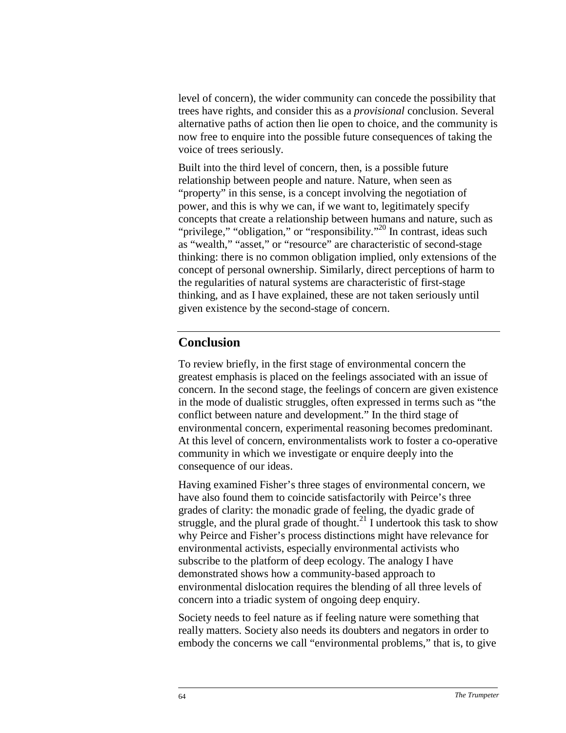level of concern), the wider community can concede the possibility that trees have rights, and consider this as a *provisional* conclusion. Several alternative paths of action then lie open to choice, and the community is now free to enquire into the possible future consequences of taking the voice of trees seriously.

Built into the third level of concern, then, is a possible future relationship between people and nature. Nature, when seen as "property" in this sense, is a concept involving the negotiation of power, and this is why we can, if we want to, legitimately specify concepts that create a relationship between humans and nature, such as "privilege," "obligation," or "responsibility."<sup>20</sup> In contrast, ideas such as "wealth," "asset," or "resource" are characteristic of second-stage thinking: there is no common obligation implied, only extensions of the concept of personal ownership. Similarly, direct perceptions of harm to the regularities of natural systems are characteristic of first-stage thinking, and as I have explained, these are not taken seriously until given existence by the second-stage of concern.

### **Conclusion**

To review briefly, in the first stage of environmental concern the greatest emphasis is placed on the feelings associated with an issue of concern. In the second stage, the feelings of concern are given existence in the mode of dualistic struggles, often expressed in terms such as "the conflict between nature and development." In the third stage of environmental concern, experimental reasoning becomes predominant. At this level of concern, environmentalists work to foster a co-operative community in which we investigate or enquire deeply into the consequence of our ideas.

Having examined Fisher's three stages of environmental concern, we have also found them to coincide satisfactorily with Peirce's three grades of clarity: the monadic grade of feeling, the dyadic grade of struggle, and the plural grade of thought.<sup>21</sup> I undertook this task to show why Peirce and Fisher's process distinctions might have relevance for environmental activists, especially environmental activists who subscribe to the platform of deep ecology. The analogy I have demonstrated shows how a community-based approach to environmental dislocation requires the blending of all three levels of concern into a triadic system of ongoing deep enquiry.

Society needs to feel nature as if feeling nature were something that really matters. Society also needs its doubters and negators in order to embody the concerns we call "environmental problems," that is, to give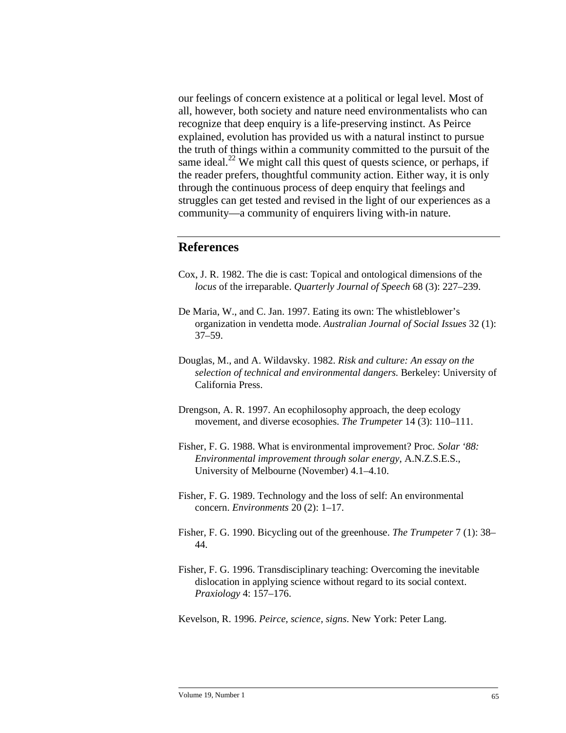our feelings of concern existence at a political or legal level. Most of all, however, both society and nature need environmentalists who can recognize that deep enquiry is a life-preserving instinct. As Peirce explained, evolution has provided us with a natural instinct to pursue the truth of things within a community committed to the pursuit of the same ideal.<sup>22</sup> We might call this quest of quests science, or perhaps, if the reader prefers, thoughtful community action. Either way, it is only through the continuous process of deep enquiry that feelings and struggles can get tested and revised in the light of our experiences as a community—a community of enquirers living with-in nature.

### **References**

- Cox, J. R. 1982. The die is cast: Topical and ontological dimensions of the *locus* of the irreparable. *Quarterly Journal of Speech* 68 (3): 227–239.
- De Maria, W., and C. Jan. 1997. Eating its own: The whistleblower's organization in vendetta mode. *Australian Journal of Social Issues* 32 (1): 37–59.
- Douglas, M., and A. Wildavsky. 1982. *Risk and culture: An essay on the selection of technical and environmental dangers.* Berkeley: University of California Press.
- Drengson, A. R. 1997. An ecophilosophy approach, the deep ecology movement, and diverse ecosophies. *The Trumpeter* 14 (3): 110–111.
- Fisher, F. G. 1988. What is environmental improvement? Proc*. Solar '88: Environmental improvement through solar energy*, A.N.Z.S.E.S., University of Melbourne (November) 4.1–4.10.
- Fisher, F. G. 1989. Technology and the loss of self: An environmental concern. *Environments* 20 (2): 1–17.
- Fisher, F. G. 1990. Bicycling out of the greenhouse. *The Trumpeter* 7 (1): 38– 44.
- Fisher, F. G. 1996. Transdisciplinary teaching: Overcoming the inevitable dislocation in applying science without regard to its social context. *Praxiology* 4: 157–176.
- Kevelson, R. 1996. *Peirce, science, signs*. New York: Peter Lang.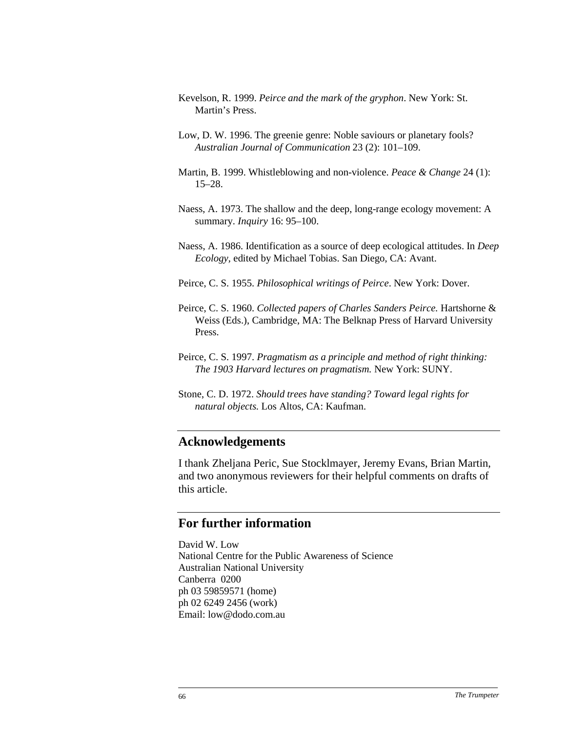- Kevelson, R. 1999. *Peirce and the mark of the gryphon*. New York: St. Martin's Press.
- Low, D. W. 1996. The greenie genre: Noble saviours or planetary fools? *Australian Journal of Communication* 23 (2): 101–109.
- Martin, B. 1999. Whistleblowing and non-violence. *Peace & Change* 24 (1): 15–28.
- Naess, A. 1973. The shallow and the deep, long-range ecology movement: A summary. *Inquiry* 16: 95–100.
- Naess, A. 1986. Identification as a source of deep ecological attitudes. In *Deep Ecology,* edited by Michael Tobias. San Diego, CA: Avant.
- Peirce, C. S. 1955. *Philosophical writings of Peirce*. New York: Dover.
- Peirce, C. S. 1960. *Collected papers of Charles Sanders Peirce.* Hartshorne & Weiss (Eds.), Cambridge, MA: The Belknap Press of Harvard University Press.
- Peirce, C. S. 1997. *Pragmatism as a principle and method of right thinking: The 1903 Harvard lectures on pragmatism.* New York: SUNY.
- Stone, C. D. 1972. *Should trees have standing? Toward legal rights for natural objects.* Los Altos, CA: Kaufman.

#### **Acknowledgements**

I thank Zheljana Peric, Sue Stocklmayer, Jeremy Evans, Brian Martin, and two anonymous reviewers for their helpful comments on drafts of this article.

### **For further information**

David W. Low National Centre for the Public Awareness of Science Australian National University Canberra 0200 ph 03 59859571 (home) ph 02 6249 2456 (work) Email: low@dodo.com.au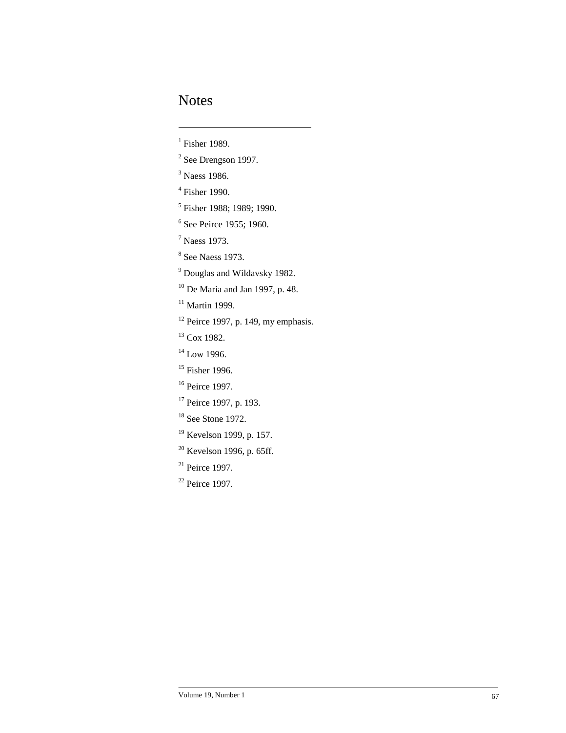## Notes

1

- $<sup>1</sup>$  Fisher 1989.</sup>
- $2$  See Drengson 1997.
- <sup>3</sup> Naess 1986.
- 4 Fisher 1990.
- <sup>5</sup> Fisher 1988; 1989; 1990.
- 6 See Peirce 1955; 1960.
- 7 Naess 1973.
- 8 See Naess 1973.
- <sup>9</sup> Douglas and Wildavsky 1982.
- $10$  De Maria and Jan 1997, p. 48.
- $11$  Martin 1999.
- $12$  Peirce 1997, p. 149, my emphasis.
- <sup>13</sup> Cox 1982.
- $14$  Low 1996.
- <sup>15</sup> Fisher 1996.
- <sup>16</sup> Peirce 1997.
- <sup>17</sup> Peirce 1997, p. 193.
- <sup>18</sup> See Stone 1972.
- <sup>19</sup> Kevelson 1999, p. 157.
- <sup>20</sup> Kevelson 1996, p. 65ff.
- $21$  Peirce 1997.
- <sup>22</sup> Peirce 1997.